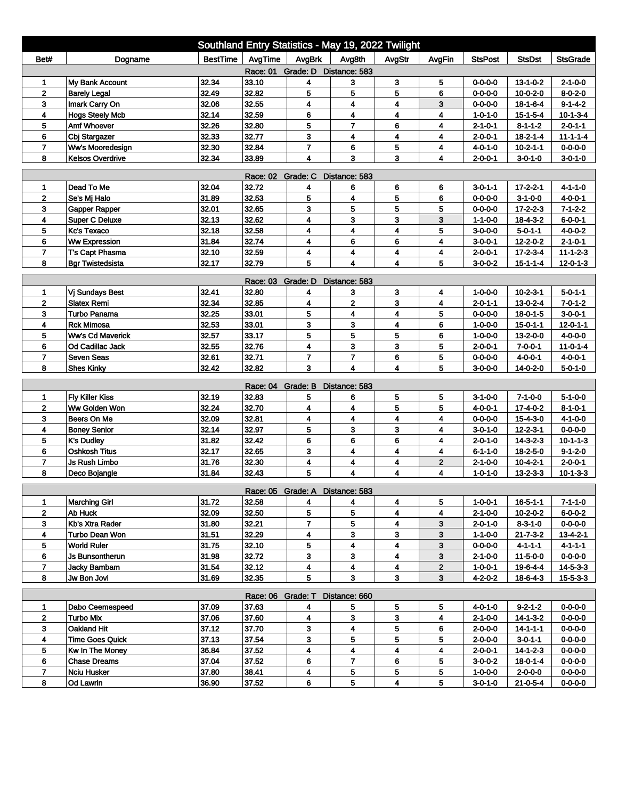| Southland Entry Statistics - May 19, 2022 Twilight                                                                          |                         |          |          |                                 |                         |                         |              |                 |                  |                  |  |
|-----------------------------------------------------------------------------------------------------------------------------|-------------------------|----------|----------|---------------------------------|-------------------------|-------------------------|--------------|-----------------|------------------|------------------|--|
| Bet#                                                                                                                        | Dogname                 | BestTime | AvgTime  | AvgBrk                          | Avg8th                  | AvgStr                  | AvgFin       | <b>StsPost</b>  | <b>StsDst</b>    | <b>StsGrade</b>  |  |
| Race: 01 Grade: D Distance: 583                                                                                             |                         |          |          |                                 |                         |                         |              |                 |                  |                  |  |
| 1                                                                                                                           | My Bank Account         | 32.34    | 33.10    | 4                               | 3                       | 3                       | 5            | $0 - 0 - 0 - 0$ | $13 - 1 - 0 - 2$ | $2 - 1 - 0 - 0$  |  |
| $\mathbf{2}$                                                                                                                | <b>Barely Legal</b>     | 32.49    | 32.82    | 5                               | 5                       | 5                       | 6            | $0 - 0 - 0 - 0$ | $10 - 0 - 2 - 0$ | $8 - 0 - 2 - 0$  |  |
| 3                                                                                                                           | Imark Carry On          | 32.06    | 32.55    | 4                               | 4                       | 4                       | 3            | $0 - 0 - 0 - 0$ | $18 - 1 - 6 - 4$ | $9 - 1 - 4 - 2$  |  |
| 4                                                                                                                           | <b>Hogs Steely Mcb</b>  | 32.14    | 32.59    | 6                               | 4                       | 4                       | 4            | $1 - 0 - 1 - 0$ | 15-1-5-4         | $10-1-3-4$       |  |
| 5                                                                                                                           | Amf Whoever             | 32.26    | 32.80    | 5                               | $\overline{7}$          | 6                       | 4            | $2 - 1 - 0 - 1$ | $8 - 1 - 1 - 2$  | $2 - 0 - 1 - 1$  |  |
| 6                                                                                                                           | Cbj Stargazer           | 32.33    | 32.77    | 3                               | 4                       | 4                       | 4            | $2 - 0 - 0 - 1$ | $18 - 2 - 1 - 4$ | $11 - 1 - 1 - 4$ |  |
| $\overline{7}$                                                                                                              | Ww's Mooredesign        | 32.30    | 32.84    | $\overline{7}$                  | 6                       | 5                       | 4            | $4 - 0 - 1 - 0$ | $10 - 2 - 1 - 1$ | $0 - 0 - 0 - 0$  |  |
| 32.34<br>3<br>8<br><b>Kelsos Overdrive</b><br>33.89<br>4<br>3<br>$3 - 0 - 1 - 0$<br>4<br>$2 - 0 - 0 - 1$<br>$3 - 0 - 1 - 0$ |                         |          |          |                                 |                         |                         |              |                 |                  |                  |  |
| <b>Race: 02</b><br>Grade: C<br>Distance: 583                                                                                |                         |          |          |                                 |                         |                         |              |                 |                  |                  |  |
| 1                                                                                                                           | Dead To Me              | 32.04    | 32.72    | 4                               | 6                       | 6                       | 6            | $3 - 0 - 1 - 1$ | $17 - 2 - 2 - 1$ | $4 - 1 - 1 - 0$  |  |
| $\mathbf{2}$                                                                                                                | Se's Mj Halo            | 31.89    | 32.53    | 5                               | $\overline{\mathbf{4}}$ | 5                       | 6            | $0 - 0 - 0 - 0$ | $3 - 1 - 0 - 0$  | $4 - 0 - 0 - 1$  |  |
| 3                                                                                                                           | Gapper Rapper           | 32.01    | 32.65    | 3                               | 5                       | 5                       | 5            | $0 - 0 - 0 - 0$ | $17 - 2 - 2 - 3$ | $7 - 1 - 2 - 2$  |  |
| 4                                                                                                                           | <b>Super C Deluxe</b>   | 32.13    | 32.62    | 4                               | 3                       | 3                       | 3            | $1 - 1 - 0 - 0$ | $18 - 4 - 3 - 2$ | $6 - 0 - 0 - 1$  |  |
| 5                                                                                                                           | <b>Kc's Texaco</b>      | 32.18    | 32.58    | 4                               | 4                       | 4                       | 5            | $3 - 0 - 0 - 0$ | $5 - 0 - 1 - 1$  | $4 - 0 - 0 - 2$  |  |
| 6                                                                                                                           | <b>Ww Expression</b>    | 31.84    | 32.74    | 4                               | 6                       | 6                       | 4            | $3 - 0 - 0 - 1$ | 12-2-0-2         | $2 - 1 - 0 - 1$  |  |
| $\overline{7}$                                                                                                              | T's Capt Phasma         | 32.10    | 32.59    | 4                               | 4                       | 4                       | 4            | $2 - 0 - 0 - 1$ | 17-2-3-4         | $11 - 1 - 2 - 3$ |  |
| 8                                                                                                                           | <b>Bgr Twistedsista</b> | 32.17    | 32.79    | 5                               | $\overline{\mathbf{4}}$ | 4                       | 5            | $3 - 0 - 0 - 2$ | $15 - 1 - 1 - 4$ | $12 - 0 - 1 - 3$ |  |
| Grade: D<br>Distance: 583<br>Race: 03                                                                                       |                         |          |          |                                 |                         |                         |              |                 |                  |                  |  |
| 1                                                                                                                           | Vj Sundays Best         | 32.41    | 32.80    | 4                               | 3                       | 3                       | 4            | $1 - 0 - 0 - 0$ | $10 - 2 - 3 - 1$ | $5 - 0 - 1 - 1$  |  |
| $\mathbf 2$                                                                                                                 | <b>Slatex Remi</b>      | 32.34    | 32.85    | 4                               | $\mathbf 2$             | 3                       | 4            | $2 - 0 - 1 - 1$ | $13 - 0 - 2 - 4$ | $7 - 0 - 1 - 2$  |  |
| 3                                                                                                                           | Turbo Panama            | 32.25    | 33.01    | 5                               | 4                       | 4                       | 5            | $0 - 0 - 0 - 0$ | $18 - 0 - 1 - 5$ | $3 - 0 - 0 - 1$  |  |
| 4                                                                                                                           | <b>Rck Mimosa</b>       | 32.53    | 33.01    | 3                               | 3                       | $\overline{\mathbf{4}}$ | 6            | $1 - 0 - 0 - 0$ | $15 - 0 - 1 - 1$ | $12 - 0 - 1 - 1$ |  |
| 5                                                                                                                           | <b>Ww's Cd Maverick</b> | 32.57    | 33.17    | 5                               | 5                       | 5                       | 6            | $1 - 0 - 0 - 0$ | 13-2-0-0         | $4 - 0 - 0 - 0$  |  |
| 6                                                                                                                           | Od Cadillac Jack        | 32.55    | 32.76    | 4                               | 3                       | 3                       | 5            | $2 - 0 - 0 - 1$ | $7 - 0 - 0 - 1$  | $11 - 0 - 1 - 4$ |  |
| 7                                                                                                                           | <b>Seven Seas</b>       | 32.61    | 32.71    | $\overline{7}$                  | $\overline{7}$          | 6                       | 5            | $0 - 0 - 0 - 0$ | 4-0-0-1          | $4 - 0 - 0 - 1$  |  |
| 8                                                                                                                           | <b>Shes Kinky</b>       | 32.42    | 32.82    | 3                               | $\overline{\mathbf{4}}$ | $\overline{\mathbf{4}}$ | 5            | $3-0-0-0$       | 14-0-2-0         | $5 - 0 - 1 - 0$  |  |
|                                                                                                                             |                         |          | Race: 04 | Grade: B                        | Distance: 583           |                         |              |                 |                  |                  |  |
| 1                                                                                                                           | <b>Fly Killer Kiss</b>  | 32.19    | 32.83    | 5                               | 6                       | 5                       | 5            | $3 - 1 - 0 - 0$ | $7 - 1 - 0 - 0$  | $5 - 1 - 0 - 0$  |  |
| $\mathbf{2}$                                                                                                                | Ww Golden Won           | 32.24    | 32.70    | 4                               | 4                       | 5                       | 5            | $4 - 0 - 0 - 1$ | 17-4-0-2         | $8 - 1 - 0 - 1$  |  |
| 3                                                                                                                           | Beers On Me             | 32.09    | 32.81    | 4                               | 4                       | 4                       | 4            | $0 - 0 - 0 - 0$ | 15-4-3-0         | $4 - 1 - 0 - 0$  |  |
| 4                                                                                                                           | <b>Boney Senior</b>     | 32.14    | 32.97    | 5                               | 3                       | 3                       | 4            | $3 - 0 - 1 - 0$ | $12 - 2 - 3 - 1$ | $0 - 0 - 0 - 0$  |  |
| 5                                                                                                                           | <b>K's Dudley</b>       | 31.82    | 32.42    | 6                               | 6                       | 6                       | 4            | $2 - 0 - 1 - 0$ | $14 - 3 - 2 - 3$ | $10 - 1 - 1 - 3$ |  |
| 6                                                                                                                           | <b>Oshkosh Titus</b>    | 32.17    | 32.65    | 3                               | 4                       | 4                       | 4            | $6 - 1 - 1 - 0$ | 18-2-5-0         | $9 - 1 - 2 - 0$  |  |
| $\overline{7}$                                                                                                              | <b>Js Rush Limbo</b>    | 31.76    | 32.30    | 4                               | 4                       | 4                       | $\mathbf{2}$ | $2 - 1 - 0 - 0$ | $10 - 4 - 2 - 1$ | $2 - 0 - 0 - 1$  |  |
| 8                                                                                                                           | Deco Bojangle           | 31.84    | 32.43    | 5                               | 4                       | $\overline{\mathbf{4}}$ | 4            | $1 - 0 - 1 - 0$ | $13 - 2 - 3 - 3$ | $10 - 1 - 3 - 3$ |  |
|                                                                                                                             |                         |          |          | Race: 05 Grade: A Distance: 583 |                         |                         |              |                 |                  |                  |  |
| 1                                                                                                                           | <b>Marching Girl</b>    | 31.72    | 32.58    | 4                               | 4                       | 4                       | 5            | $1 - 0 - 0 - 1$ | 16-5-1-1         | 7-1-1-0          |  |
| $\mathbf{2}$                                                                                                                | Ab Huck                 | 32.09    | 32.50    | 5                               | 5                       | 4                       | 4            | $2 - 1 - 0 - 0$ | $10 - 2 - 0 - 2$ | $6 - 0 - 0 - 2$  |  |
| 3                                                                                                                           | Kb's Xtra Rader         | 31.80    | 32.21    | $\overline{\mathbf{r}}$         | 5                       | 4                       | 3            | $2 - 0 - 1 - 0$ | $8 - 3 - 1 - 0$  | $0 - 0 - 0 - 0$  |  |
| 4                                                                                                                           | Turbo Dean Won          | 31.51    | 32.29    | 4                               | 3                       | $\mathbf{3}$            | 3            | $1 - 1 - 0 - 0$ | $21 - 7 - 3 - 2$ | $13 - 4 - 2 - 1$ |  |
| 5                                                                                                                           | <b>World Ruler</b>      | 31.75    | 32.10    | 5                               | 4                       | 4                       | 3            | $0 - 0 - 0 - 0$ | $4 - 1 - 1 - 1$  | $4 - 1 - 1 - 1$  |  |
| 6                                                                                                                           | Js Bunsontherun         | 31.98    | 32.72    | 3                               | 3                       | 4                       | 3            | $2 - 1 - 0 - 0$ | 11-5-0-0         | $0 - 0 - 0 - 0$  |  |
| $\overline{7}$                                                                                                              | Jacky Bambam            | 31.54    | 32.12    | 4                               | $\overline{\mathbf{4}}$ | 4                       | $\mathbf{2}$ | $1 - 0 - 0 - 1$ | 19-6-4-4         | $14 - 5 - 3 - 3$ |  |
| 8                                                                                                                           | Jw Bon Jovi             | 31.69    | 32.35    | 5                               | $\mathbf{3}$            | 3 <sup>1</sup>          | 3            | $4 - 2 - 0 - 2$ | $18 - 6 - 4 - 3$ | $15 - 5 - 3 - 3$ |  |
|                                                                                                                             |                         |          |          | Race: 06 Grade: T Distance: 660 |                         |                         |              |                 |                  |                  |  |
| 1                                                                                                                           | Dabo Ceemespeed         | 37.09    | 37.63    | 4                               | 5                       | 5                       | 5            | $4 - 0 - 1 - 0$ | $9 - 2 - 1 - 2$  | $0 - 0 - 0 - 0$  |  |
| $\mathbf{2}$                                                                                                                | <b>Turbo Mix</b>        | 37.06    | 37.60    | 4                               | $\mathbf{3}$            | 3                       | 4            | $2 - 1 - 0 - 0$ | 14-1-3-2         | $0 - 0 - 0 - 0$  |  |
| 3 <sup>2</sup>                                                                                                              | Oakland Hit             | 37.12    | 37.70    | 3                               | $\blacktriangleleft$    | 5                       | 6            | $2 - 0 - 0 - 0$ | $14 - 1 - 1 - 1$ | $0 - 0 - 0 - 0$  |  |
| 4                                                                                                                           | <b>Time Goes Quick</b>  | 37.13    | 37.54    | 3                               | 5                       | 5                       | 5            | $2 - 0 - 0 - 0$ | $3 - 0 - 1 - 1$  | $0 - 0 - 0 - 0$  |  |
| 5                                                                                                                           | Kw In The Money         | 36.84    | 37.52    | 4                               | 4                       | 4                       | 4            | $2 - 0 - 0 - 1$ | 14-1-2-3         | $0 - 0 - 0 - 0$  |  |
| 6                                                                                                                           | <b>Chase Dreams</b>     | 37.04    | 37.52    | 6                               | $\overline{7}$          | 6                       | 5            | $3 - 0 - 0 - 2$ | $18 - 0 - 1 - 4$ | $0 - 0 - 0 - 0$  |  |
| $\overline{7}$                                                                                                              | Nciu Husker             | 37.80    | 38.41    | 4                               | 5                       | 5                       | 5            | $1 - 0 - 0 - 0$ | $2 - 0 - 0 - 0$  | 0-0-0-0          |  |
| 8                                                                                                                           | Od Lawrin               | 36.90    | 37.52    | 6                               | 5                       | 4                       | 5            | $3 - 0 - 1 - 0$ | $21 - 0 - 5 - 4$ | $0 - 0 - 0 - 0$  |  |